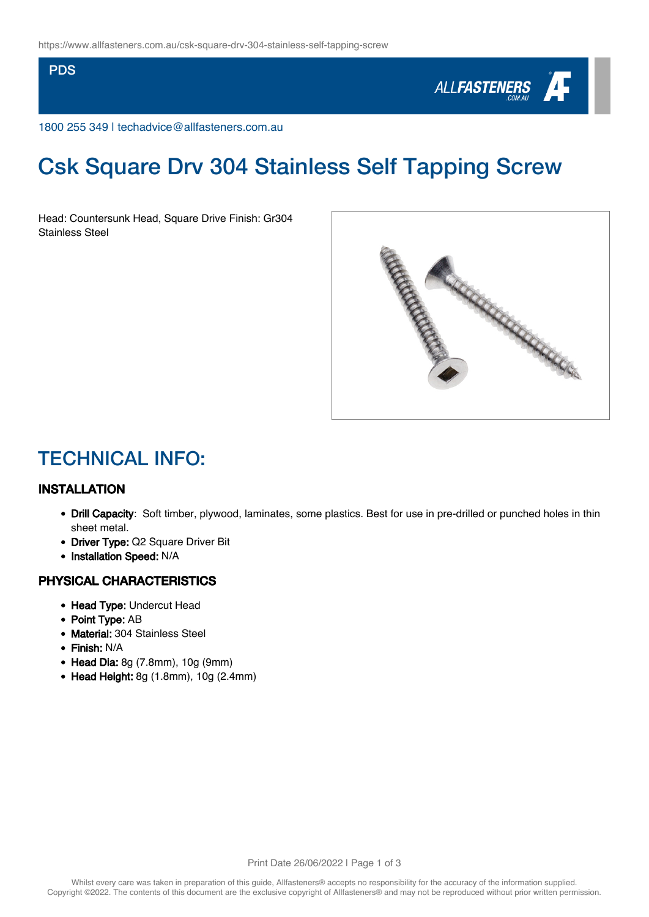#### PDS



1800 255 349 | techadvice@allfasteners.com.au

# Csk Square Drv 304 Stainless Self Tapping Screw

Head: Countersunk Head, Square Drive Finish: Gr304 Stainless Steel



### TECHNICAL INFO:

#### INSTALLATION

- Drill Capacity: Soft timber, plywood, laminates, some plastics. Best for use in pre-drilled or punched holes in thin sheet metal.
- Driver Type: Q2 Square Driver Bit
- Installation Speed: N/A

#### PHYSICAL CHARACTERISTICS

- Head Type: Undercut Head
- Point Type: AB
- Material: 304 Stainless Steel
- Finish: N/A
- Head Dia: 8g (7.8mm), 10g (9mm)
- $\bullet$  Head Height: 8g (1.8mm), 10g (2.4mm)

Print Date 26/06/2022 | Page 1 of 3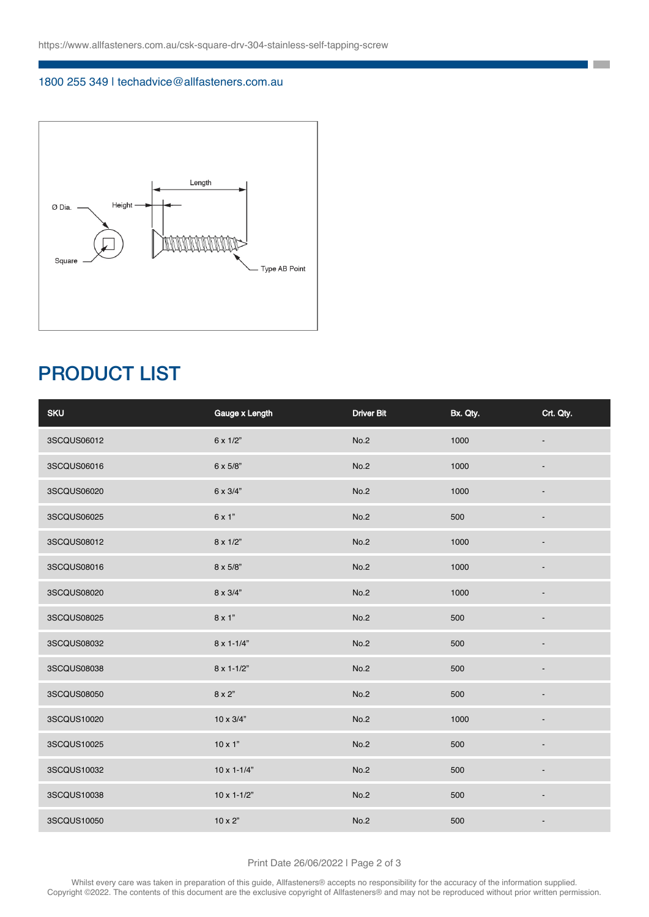#### 1800 255 349 | techadvice@allfasteners.com.au



## PRODUCT LIST

| <b>SKU</b>  | Gauge x Length        | <b>Driver Bit</b> | Bx. Qty. | Crt. Qty. |
|-------------|-----------------------|-------------------|----------|-----------|
| 3SCQUS06012 | 6 x 1/2"              | No.2              | 1000     |           |
| 3SCQUS06016 | 6 x 5/8"              | No.2              | 1000     |           |
| 3SCQUS06020 | 6 x 3/4"              | No.2              | 1000     |           |
| 3SCQUS06025 | 6 x 1"                | No.2              | 500      |           |
| 3SCQUS08012 | 8 x 1/2"              | No.2              | 1000     |           |
| 3SCQUS08016 | 8 x 5/8"              | No.2              | 1000     |           |
| 3SCQUS08020 | 8 x 3/4"              | No.2              | 1000     |           |
| 3SCQUS08025 | 8 x 1"                | No.2              | 500      |           |
| 3SCQUS08032 | $8 \times 1 - 1/4"$   | No.2              | 500      |           |
| 3SCQUS08038 | $8 \times 1 - 1/2$ "  | No.2              | 500      |           |
| 3SCQUS08050 | 8 x 2"                | No.2              | 500      |           |
| 3SCQUS10020 | 10 x 3/4"             | No.2              | 1000     |           |
| 3SCQUS10025 | $10 \times 1"$        | No.2              | 500      |           |
| 3SCQUS10032 | $10 \times 1 - 1/4$ " | No.2              | 500      |           |
| 3SCQUS10038 | $10 \times 1 - 1/2$ " | No.2              | 500      |           |
| 3SCQUS10050 | $10 \times 2$ "       | No.2              | 500      |           |

**The Co** 

Print Date 26/06/2022 | Page 2 of 3

Whilst every care was taken in preparation of this guide, Allfasteners® accepts no responsibility for the accuracy of the information supplied. Copyright ©2022. The contents of this document are the exclusive copyright of Allfasteners® and may not be reproduced without prior written permission.